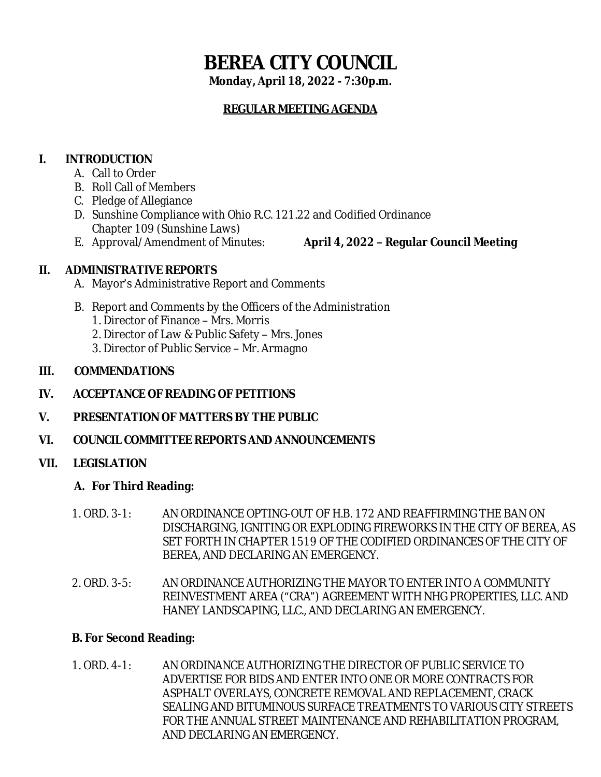# **BEREA CITY COUNCIL**

**Monday, April 18, 2022 - 7:30p.m.**

## **REGULAR MEETING AGENDA**

## **I. INTRODUCTION**

- A. Call to Order
- B. Roll Call of Members
- C. Pledge of Allegiance
- D. Sunshine Compliance with Ohio R.C. 121.22 and Codified Ordinance Chapter 109 (Sunshine Laws)
- 
- E. Approval/Amendment of Minutes: **April 4, 2022 – Regular Council Meeting**

## **II. ADMINISTRATIVE REPORTS**

- A. Mayor's Administrative Report and Comments
- B. Report and Comments by the Officers of the Administration
	- 1. Director of Finance Mrs. Morris
	- 2. Director of Law & Public Safety Mrs. Jones
	- 3. Director of Public Service Mr. Armagno

## **III. COMMENDATIONS**

- **IV. ACCEPTANCE OF READING OF PETITIONS**
- **V. PRESENTATION OF MATTERS BY THE PUBLIC**
- **VI. COUNCIL COMMITTEE REPORTS AND ANNOUNCEMENTS**

## **VII. LEGISLATION**

## **A. For Third Reading:**

- 1. ORD. 3-1: AN ORDINANCE OPTING-OUT OF H.B. 172 AND REAFFIRMING THE BAN ON DISCHARGING, IGNITING OR EXPLODING FIREWORKS IN THE CITY OF BEREA, AS SET FORTH IN CHAPTER 1519 OF THE CODIFIED ORDINANCES OF THE CITY OF BEREA, AND DECLARING AN EMERGENCY.
- 2. ORD. 3-5: AN ORDINANCE AUTHORIZING THE MAYOR TO ENTER INTO A COMMUNITY REINVESTMENT AREA ("CRA") AGREEMENT WITH NHG PROPERTIES, LLC. AND HANEY LANDSCAPING, LLC., AND DECLARING AN EMERGENCY.

## **B. For Second Reading:**

1. ORD. 4-1: AN ORDINANCE AUTHORIZING THE DIRECTOR OF PUBLIC SERVICE TO ADVERTISE FOR BIDS AND ENTER INTO ONE OR MORE CONTRACTS FOR ASPHALT OVERLAYS, CONCRETE REMOVAL AND REPLACEMENT, CRACK SEALING AND BITUMINOUS SURFACE TREATMENTS TO VARIOUS CITY STREETS FOR THE ANNUAL STREET MAINTENANCE AND REHABILITATION PROGRAM, AND DECLARING AN EMERGENCY.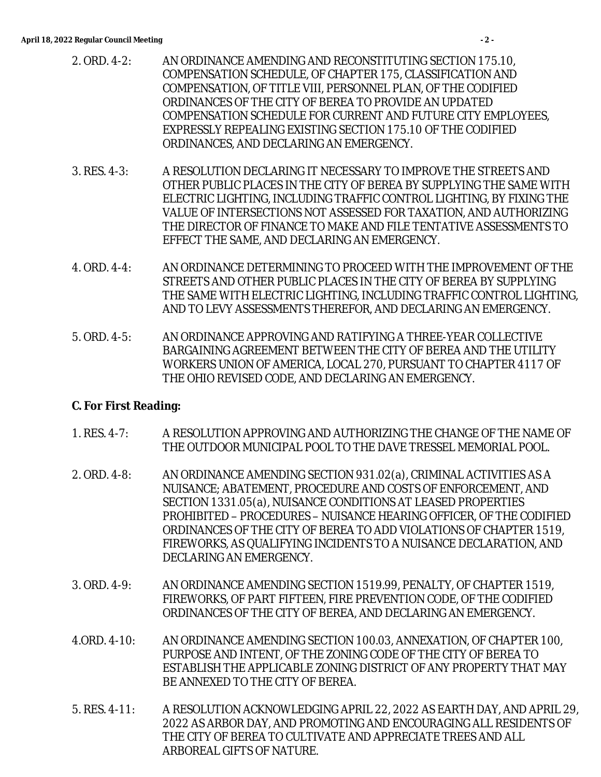- 2. ORD. 4-2: AN ORDINANCE AMENDING AND RECONSTITUTING SECTION 175.10, COMPENSATION SCHEDULE, OF CHAPTER 175, CLASSIFICATION AND COMPENSATION, OF TITLE VIII, PERSONNEL PLAN, OF THE CODIFIED ORDINANCES OF THE CITY OF BEREA TO PROVIDE AN UPDATED COMPENSATION SCHEDULE FOR CURRENT AND FUTURE CITY EMPLOYEES, EXPRESSLY REPEALING EXISTING SECTION 175.10 OF THE CODIFIED ORDINANCES, AND DECLARING AN EMERGENCY.
- 3. RES. 4-3: A RESOLUTION DECLARING IT NECESSARY TO IMPROVE THE STREETS AND OTHER PUBLIC PLACES IN THE CITY OF BEREA BY SUPPLYING THE SAME WITH ELECTRIC LIGHTING, INCLUDING TRAFFIC CONTROL LIGHTING, BY FIXING THE VALUE OF INTERSECTIONS NOT ASSESSED FOR TAXATION, AND AUTHORIZING THE DIRECTOR OF FINANCE TO MAKE AND FILE TENTATIVE ASSESSMENTS TO EFFECT THE SAME, AND DECLARING AN EMERGENCY.
- 4. ORD. 4-4: AN ORDINANCE DETERMINING TO PROCEED WITH THE IMPROVEMENT OF THE STREETS AND OTHER PUBLIC PLACES IN THE CITY OF BEREA BY SUPPLYING THE SAME WITH ELECTRIC LIGHTING, INCLUDING TRAFFIC CONTROL LIGHTING, AND TO LEVY ASSESSMENTS THEREFOR, AND DECLARING AN EMERGENCY.
- 5. ORD. 4-5: AN ORDINANCE APPROVING AND RATIFYING A THREE-YEAR COLLECTIVE BARGAINING AGREEMENT BETWEEN THE CITY OF BEREA AND THE UTILITY WORKERS UNION OF AMERICA, LOCAL 270, PURSUANT TO CHAPTER 4117 OF THE OHIO REVISED CODE, AND DECLARING AN EMERGENCY.

#### **C. For First Reading:**

- 1. RES. 4-7: A RESOLUTION APPROVING AND AUTHORIZING THE CHANGE OF THE NAME OF THE OUTDOOR MUNICIPAL POOL TO THE DAVE TRESSEL MEMORIAL POOL.
- 2. ORD. 4-8: AN ORDINANCE AMENDING SECTION 931.02(a), CRIMINAL ACTIVITIES AS A NUISANCE; ABATEMENT, PROCEDURE AND COSTS OF ENFORCEMENT, AND SECTION 1331.05(a), NUISANCE CONDITIONS AT LEASED PROPERTIES PROHIBITED – PROCEDURES – NUISANCE HEARING OFFICER, OF THE CODIFIED ORDINANCES OF THE CITY OF BEREA TO ADD VIOLATIONS OF CHAPTER 1519, FIREWORKS, AS QUALIFYING INCIDENTS TO A NUISANCE DECLARATION, AND DECLARING AN EMERGENCY.
- 3. ORD. 4-9: AN ORDINANCE AMENDING SECTION 1519.99, PENALTY, OF CHAPTER 1519, FIREWORKS, OF PART FIFTEEN, FIRE PREVENTION CODE, OF THE CODIFIED ORDINANCES OF THE CITY OF BEREA, AND DECLARING AN EMERGENCY.
- 4.ORD. 4-10: AN ORDINANCE AMENDING SECTION 100.03, ANNEXATION, OF CHAPTER 100, PURPOSE AND INTENT, OF THE ZONING CODE OF THE CITY OF BEREA TO ESTABLISH THE APPLICABLE ZONING DISTRICT OF ANY PROPERTY THAT MAY BE ANNEXED TO THE CITY OF BEREA.
- 5. RES. 4-11: A RESOLUTION ACKNOWLEDGING APRIL 22, 2022 AS EARTH DAY, AND APRIL 29, 2022 AS ARBOR DAY, AND PROMOTING AND ENCOURAGING ALL RESIDENTS OF THE CITY OF BEREA TO CULTIVATE AND APPRECIATE TREES AND ALL ARBOREAL GIFTS OF NATURE.